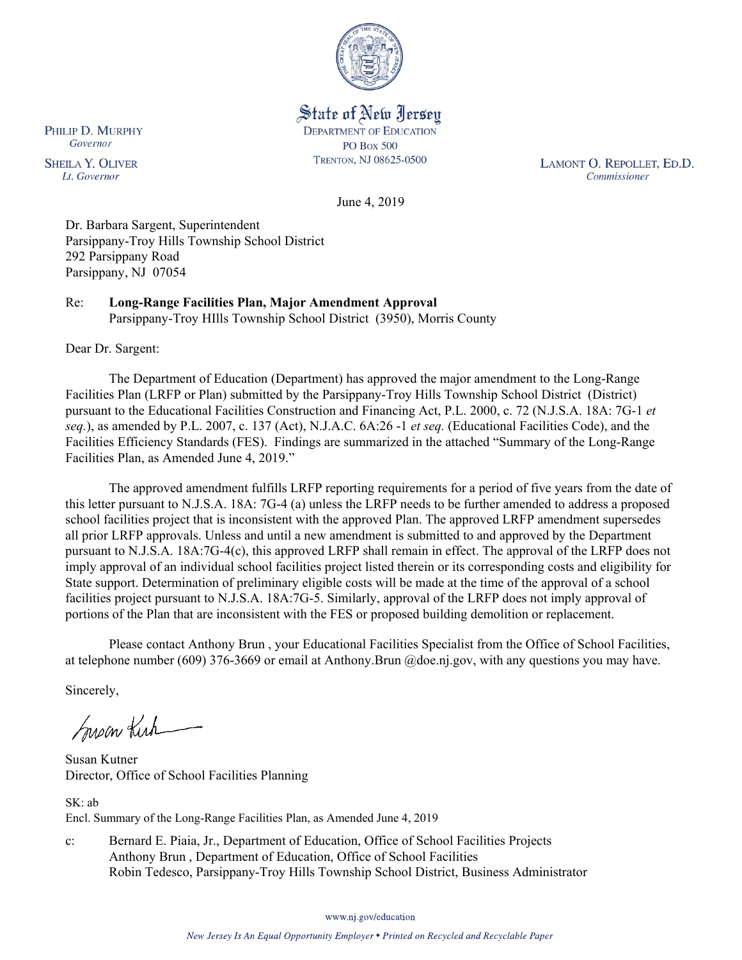

State of New Jersey **DEPARTMENT OF EDUCATION PO Box 500** TRENTON, NJ 08625-0500

LAMONT O. REPOLLET, ED.D. Commissioner

June 4, 2019

Dr. Barbara Sargent, Superintendent Parsippany-Troy Hills Township School District 292 Parsippany Road Parsippany, NJ 07054

Re: **Long-Range Facilities Plan, Major Amendment Approval** Parsippany-Troy HIlls Township School District (3950), Morris County

Dear Dr. Sargent:

The Department of Education (Department) has approved the major amendment to the Long-Range Facilities Plan (LRFP or Plan) submitted by the Parsippany-Troy Hills Township School District (District) pursuant to the Educational Facilities Construction and Financing Act, P.L. 2000, c. 72 (N.J.S.A. 18A: 7G-1 *et seq.*), as amended by P.L. 2007, c. 137 (Act), N.J.A.C. 6A:26 -1 *et seq.* (Educational Facilities Code), and the Facilities Efficiency Standards (FES). Findings are summarized in the attached "Summary of the Long-Range Facilities Plan, as Amended June 4, 2019."

The approved amendment fulfills LRFP reporting requirements for a period of five years from the date of this letter pursuant to N.J.S.A. 18A: 7G-4 (a) unless the LRFP needs to be further amended to address a proposed school facilities project that is inconsistent with the approved Plan. The approved LRFP amendment supersedes all prior LRFP approvals. Unless and until a new amendment is submitted to and approved by the Department pursuant to N.J.S.A. 18A:7G-4(c), this approved LRFP shall remain in effect. The approval of the LRFP does not imply approval of an individual school facilities project listed therein or its corresponding costs and eligibility for State support. Determination of preliminary eligible costs will be made at the time of the approval of a school facilities project pursuant to N.J.S.A. 18A:7G-5. Similarly, approval of the LRFP does not imply approval of portions of the Plan that are inconsistent with the FES or proposed building demolition or replacement.

Please contact Anthony Brun , your Educational Facilities Specialist from the Office of School Facilities, at telephone number (609) 376-3669 or email at Anthony.Brun @doe.nj.gov, with any questions you may have.

Sincerely,

Susan Kirk

Susan Kutner Director, Office of School Facilities Planning

SK: ab Encl. Summary of the Long-Range Facilities Plan, as Amended June 4, 2019

c: Bernard E. Piaia, Jr., Department of Education, Office of School Facilities Projects Anthony Brun , Department of Education, Office of School Facilities Robin Tedesco, Parsippany-Troy Hills Township School District, Business Administrator

www.nj.gov/education

PHILIP D. MURPHY Governor

**SHEILA Y. OLIVER** Lt. Governor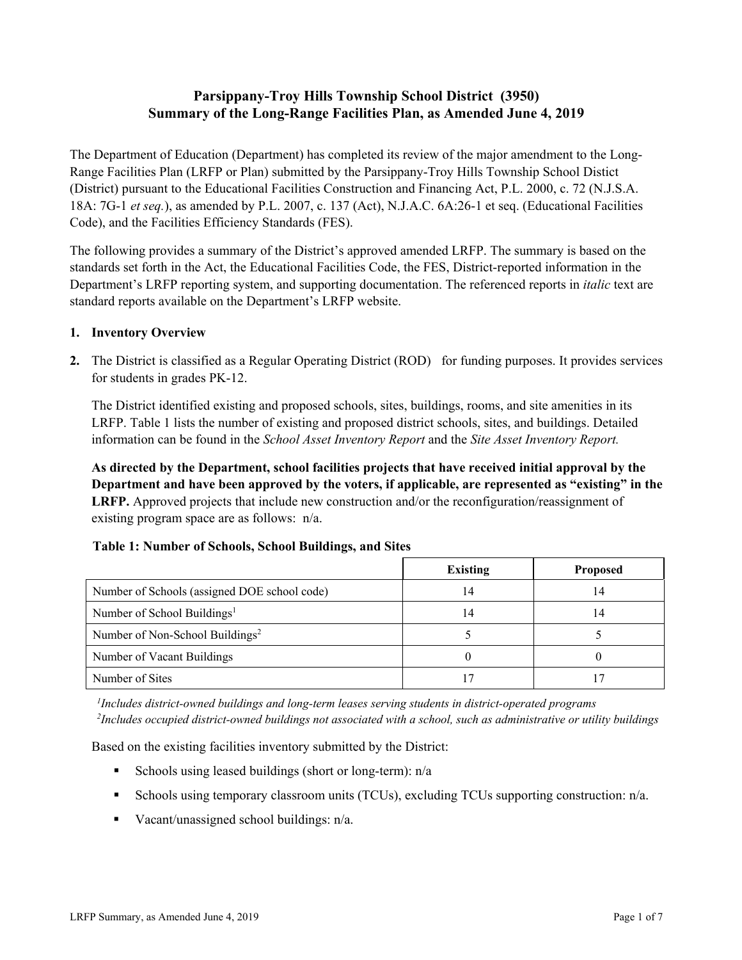# **Parsippany-Troy Hills Township School District (3950) Summary of the Long-Range Facilities Plan, as Amended June 4, 2019**

The Department of Education (Department) has completed its review of the major amendment to the Long-Range Facilities Plan (LRFP or Plan) submitted by the Parsippany-Troy Hills Township School Distict (District) pursuant to the Educational Facilities Construction and Financing Act, P.L. 2000, c. 72 (N.J.S.A. 18A: 7G-1 *et seq.*), as amended by P.L. 2007, c. 137 (Act), N.J.A.C. 6A:26-1 et seq. (Educational Facilities Code), and the Facilities Efficiency Standards (FES).

The following provides a summary of the District's approved amended LRFP. The summary is based on the standards set forth in the Act, the Educational Facilities Code, the FES, District-reported information in the Department's LRFP reporting system, and supporting documentation. The referenced reports in *italic* text are standard reports available on the Department's LRFP website.

### **1. Inventory Overview**

**2.** The District is classified as a Regular Operating District (ROD) for funding purposes. It provides services for students in grades PK-12.

The District identified existing and proposed schools, sites, buildings, rooms, and site amenities in its LRFP. Table 1 lists the number of existing and proposed district schools, sites, and buildings. Detailed information can be found in the *School Asset Inventory Report* and the *Site Asset Inventory Report.*

**As directed by the Department, school facilities projects that have received initial approval by the Department and have been approved by the voters, if applicable, are represented as "existing" in the LRFP.** Approved projects that include new construction and/or the reconfiguration/reassignment of existing program space are as follows: n/a.

|                                              | <b>Existing</b> | <b>Proposed</b> |
|----------------------------------------------|-----------------|-----------------|
| Number of Schools (assigned DOE school code) | 14              | 14              |
| Number of School Buildings <sup>1</sup>      | 14              | 14              |
| Number of Non-School Buildings <sup>2</sup>  |                 |                 |
| Number of Vacant Buildings                   |                 |                 |
| Number of Sites                              |                 |                 |

# **Table 1: Number of Schools, School Buildings, and Sites**

*1 Includes district-owned buildings and long-term leases serving students in district-operated programs 2 Includes occupied district-owned buildings not associated with a school, such as administrative or utility buildings*

Based on the existing facilities inventory submitted by the District:

- Schools using leased buildings (short or long-term):  $n/a$
- Schools using temporary classroom units (TCUs), excluding TCUs supporting construction: n/a.
- Vacant/unassigned school buildings:  $n/a$ .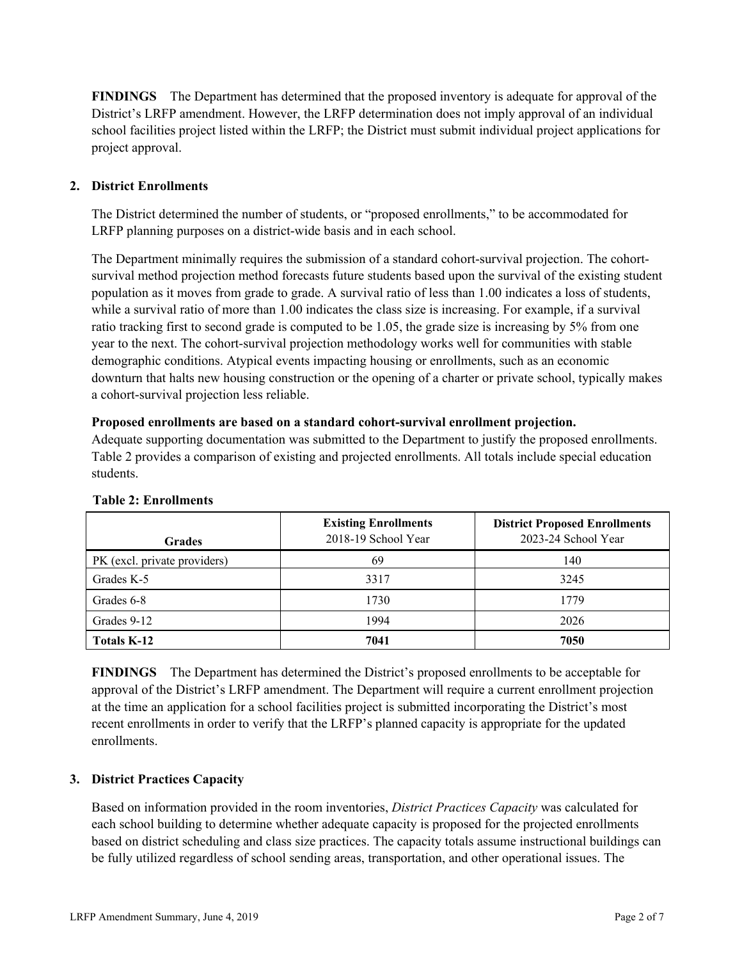**FINDINGS** The Department has determined that the proposed inventory is adequate for approval of the District's LRFP amendment. However, the LRFP determination does not imply approval of an individual school facilities project listed within the LRFP; the District must submit individual project applications for project approval.

# **2. District Enrollments**

The District determined the number of students, or "proposed enrollments," to be accommodated for LRFP planning purposes on a district-wide basis and in each school.

The Department minimally requires the submission of a standard cohort-survival projection. The cohortsurvival method projection method forecasts future students based upon the survival of the existing student population as it moves from grade to grade. A survival ratio of less than 1.00 indicates a loss of students, while a survival ratio of more than 1.00 indicates the class size is increasing. For example, if a survival ratio tracking first to second grade is computed to be 1.05, the grade size is increasing by 5% from one year to the next. The cohort-survival projection methodology works well for communities with stable demographic conditions. Atypical events impacting housing or enrollments, such as an economic downturn that halts new housing construction or the opening of a charter or private school, typically makes a cohort-survival projection less reliable.

#### **Proposed enrollments are based on a standard cohort-survival enrollment projection.**

Adequate supporting documentation was submitted to the Department to justify the proposed enrollments. Table 2 provides a comparison of existing and projected enrollments. All totals include special education students.

| <b>Grades</b>                | <b>Existing Enrollments</b><br>2018-19 School Year | <b>District Proposed Enrollments</b><br>2023-24 School Year |
|------------------------------|----------------------------------------------------|-------------------------------------------------------------|
| PK (excl. private providers) | 69                                                 | 140                                                         |
| Grades K-5                   | 3317                                               | 3245                                                        |
| Grades 6-8                   | 1730                                               | 1779                                                        |
| Grades 9-12                  | 1994                                               | 2026                                                        |
| Totals K-12                  | 7041                                               | 7050                                                        |

#### **Table 2: Enrollments**

**FINDINGS** The Department has determined the District's proposed enrollments to be acceptable for approval of the District's LRFP amendment. The Department will require a current enrollment projection at the time an application for a school facilities project is submitted incorporating the District's most recent enrollments in order to verify that the LRFP's planned capacity is appropriate for the updated enrollments.

# **3. District Practices Capacity**

Based on information provided in the room inventories, *District Practices Capacity* was calculated for each school building to determine whether adequate capacity is proposed for the projected enrollments based on district scheduling and class size practices. The capacity totals assume instructional buildings can be fully utilized regardless of school sending areas, transportation, and other operational issues. The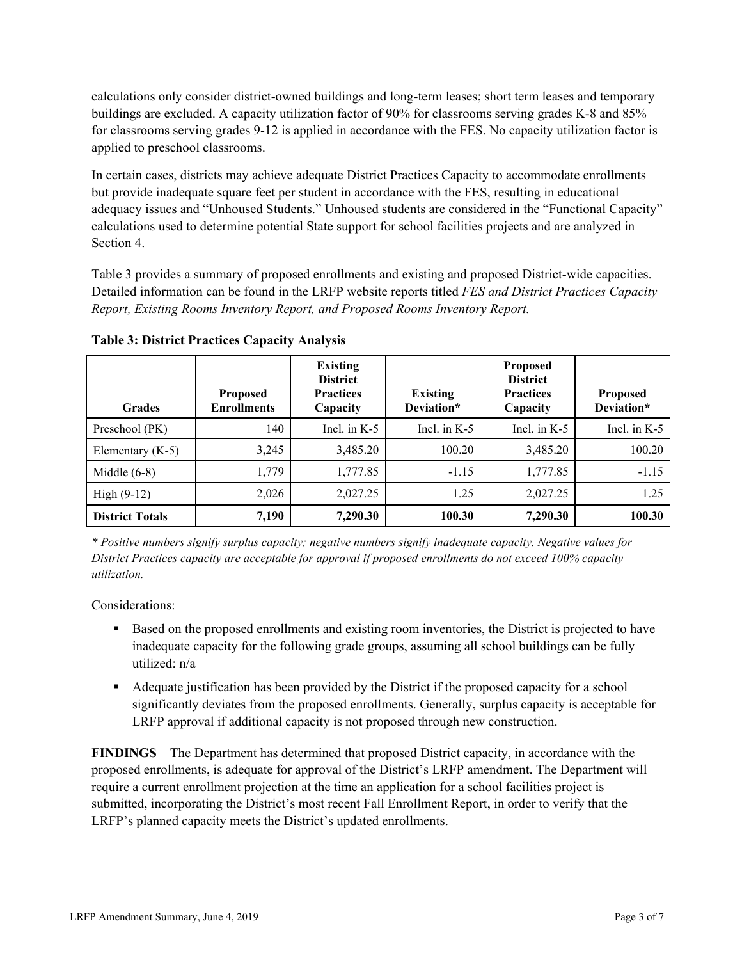calculations only consider district-owned buildings and long-term leases; short term leases and temporary buildings are excluded. A capacity utilization factor of 90% for classrooms serving grades K-8 and 85% for classrooms serving grades 9-12 is applied in accordance with the FES. No capacity utilization factor is applied to preschool classrooms.

In certain cases, districts may achieve adequate District Practices Capacity to accommodate enrollments but provide inadequate square feet per student in accordance with the FES, resulting in educational adequacy issues and "Unhoused Students." Unhoused students are considered in the "Functional Capacity" calculations used to determine potential State support for school facilities projects and are analyzed in Section 4.

Table 3 provides a summary of proposed enrollments and existing and proposed District-wide capacities. Detailed information can be found in the LRFP website reports titled *FES and District Practices Capacity Report, Existing Rooms Inventory Report, and Proposed Rooms Inventory Report.*

| <b>Grades</b>          | <b>Proposed</b><br><b>Enrollments</b> | <b>Existing</b><br><b>District</b><br><b>Practices</b><br>Capacity | <b>Existing</b><br>Deviation* | <b>Proposed</b><br><b>District</b><br><b>Practices</b><br>Capacity | <b>Proposed</b><br>Deviation* |
|------------------------|---------------------------------------|--------------------------------------------------------------------|-------------------------------|--------------------------------------------------------------------|-------------------------------|
| Preschool (PK)         | 140                                   | Incl. in $K-5$                                                     | Incl. in $K-5$                | Incl. in $K-5$                                                     | Incl. in $K-5$                |
| Elementary $(K-5)$     | 3,245                                 | 3,485.20                                                           | 100.20                        | 3,485.20                                                           | 100.20                        |
| Middle $(6-8)$         | 1,779                                 | 1,777.85                                                           | $-1.15$                       | 1,777.85                                                           | $-1.15$                       |
| High $(9-12)$          | 2,026                                 | 2,027.25                                                           | 1.25                          | 2,027.25                                                           | 1.25                          |
| <b>District Totals</b> | 7,190                                 | 7,290.30                                                           | 100.30                        | 7,290.30                                                           | 100.30                        |

**Table 3: District Practices Capacity Analysis**

*\* Positive numbers signify surplus capacity; negative numbers signify inadequate capacity. Negative values for District Practices capacity are acceptable for approval if proposed enrollments do not exceed 100% capacity utilization.*

Considerations:

- Based on the proposed enrollments and existing room inventories, the District is projected to have inadequate capacity for the following grade groups, assuming all school buildings can be fully utilized: n/a
- Adequate justification has been provided by the District if the proposed capacity for a school significantly deviates from the proposed enrollments. Generally, surplus capacity is acceptable for LRFP approval if additional capacity is not proposed through new construction.

**FINDINGS**The Department has determined that proposed District capacity, in accordance with the proposed enrollments, is adequate for approval of the District's LRFP amendment. The Department will require a current enrollment projection at the time an application for a school facilities project is submitted, incorporating the District's most recent Fall Enrollment Report, in order to verify that the LRFP's planned capacity meets the District's updated enrollments.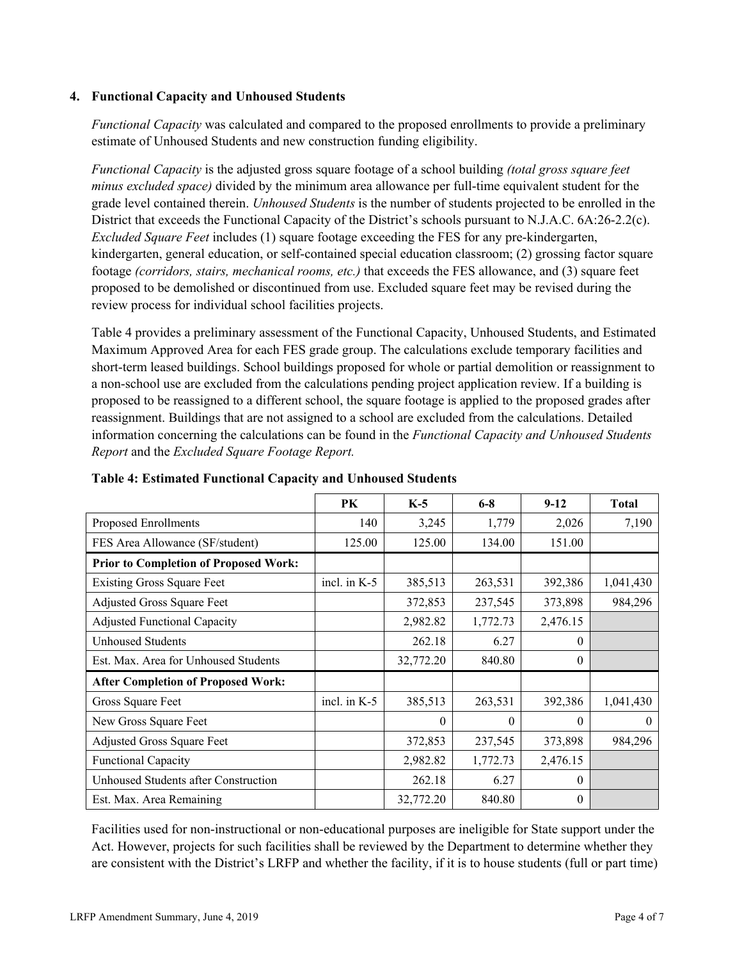### **4. Functional Capacity and Unhoused Students**

*Functional Capacity* was calculated and compared to the proposed enrollments to provide a preliminary estimate of Unhoused Students and new construction funding eligibility.

*Functional Capacity* is the adjusted gross square footage of a school building *(total gross square feet minus excluded space)* divided by the minimum area allowance per full-time equivalent student for the grade level contained therein. *Unhoused Students* is the number of students projected to be enrolled in the District that exceeds the Functional Capacity of the District's schools pursuant to N.J.A.C. 6A:26-2.2(c). *Excluded Square Feet* includes (1) square footage exceeding the FES for any pre-kindergarten, kindergarten, general education, or self-contained special education classroom; (2) grossing factor square footage *(corridors, stairs, mechanical rooms, etc.)* that exceeds the FES allowance, and (3) square feet proposed to be demolished or discontinued from use. Excluded square feet may be revised during the review process for individual school facilities projects.

Table 4 provides a preliminary assessment of the Functional Capacity, Unhoused Students, and Estimated Maximum Approved Area for each FES grade group. The calculations exclude temporary facilities and short-term leased buildings. School buildings proposed for whole or partial demolition or reassignment to a non-school use are excluded from the calculations pending project application review. If a building is proposed to be reassigned to a different school, the square footage is applied to the proposed grades after reassignment. Buildings that are not assigned to a school are excluded from the calculations. Detailed information concerning the calculations can be found in the *Functional Capacity and Unhoused Students Report* and the *Excluded Square Footage Report.*

|                                              | PK             | $K-5$     | $6 - 8$  | $9-12$   | <b>Total</b> |
|----------------------------------------------|----------------|-----------|----------|----------|--------------|
| Proposed Enrollments                         | 140            | 3,245     | 1,779    | 2,026    | 7,190        |
| FES Area Allowance (SF/student)              | 125.00         | 125.00    | 134.00   | 151.00   |              |
| <b>Prior to Completion of Proposed Work:</b> |                |           |          |          |              |
| <b>Existing Gross Square Feet</b>            | incl. in $K-5$ | 385,513   | 263,531  | 392,386  | 1,041,430    |
| Adjusted Gross Square Feet                   |                | 372,853   | 237,545  | 373,898  | 984,296      |
| <b>Adjusted Functional Capacity</b>          |                | 2,982.82  | 1,772.73 | 2,476.15 |              |
| Unhoused Students                            |                | 262.18    | 6.27     | $\theta$ |              |
| Est. Max. Area for Unhoused Students         |                | 32,772.20 | 840.80   | $\theta$ |              |
| <b>After Completion of Proposed Work:</b>    |                |           |          |          |              |
| Gross Square Feet                            | incl. in $K-5$ | 385,513   | 263,531  | 392,386  | 1,041,430    |
| New Gross Square Feet                        |                | $\Omega$  | $\theta$ | $\Omega$ | $\theta$     |
| Adjusted Gross Square Feet                   |                | 372,853   | 237,545  | 373,898  | 984,296      |
| <b>Functional Capacity</b>                   |                | 2,982.82  | 1,772.73 | 2,476.15 |              |
| Unhoused Students after Construction         |                | 262.18    | 6.27     | $\theta$ |              |
| Est. Max. Area Remaining                     |                | 32,772.20 | 840.80   | $\theta$ |              |

**Table 4: Estimated Functional Capacity and Unhoused Students** 

Facilities used for non-instructional or non-educational purposes are ineligible for State support under the Act. However, projects for such facilities shall be reviewed by the Department to determine whether they are consistent with the District's LRFP and whether the facility, if it is to house students (full or part time)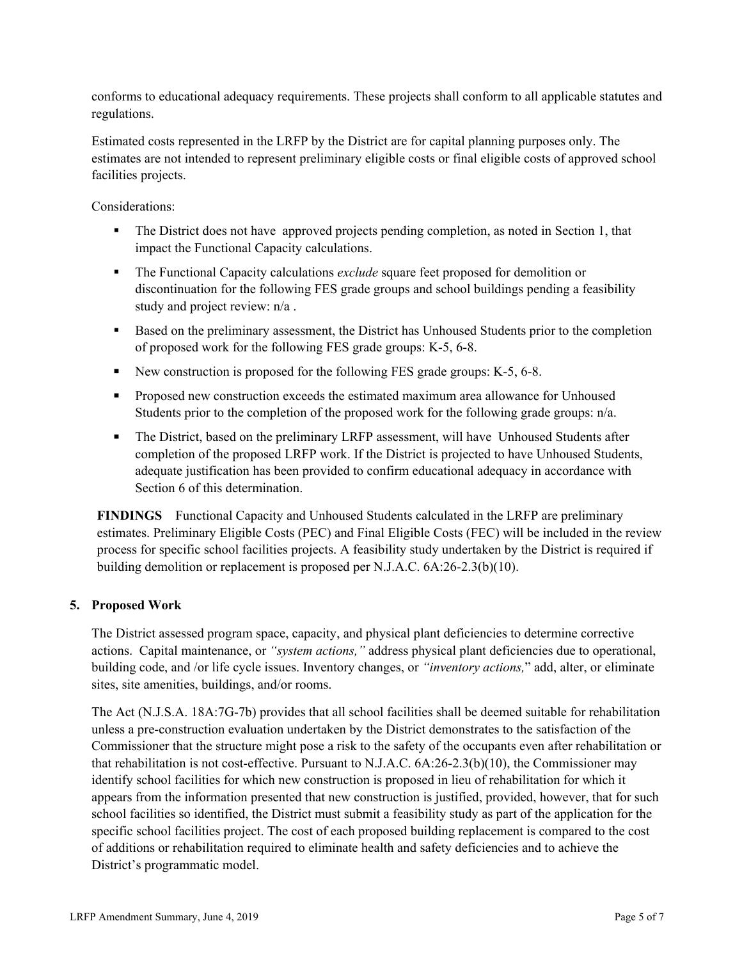conforms to educational adequacy requirements. These projects shall conform to all applicable statutes and regulations.

Estimated costs represented in the LRFP by the District are for capital planning purposes only. The estimates are not intended to represent preliminary eligible costs or final eligible costs of approved school facilities projects.

Considerations:

- The District does not have approved projects pending completion, as noted in Section 1, that impact the Functional Capacity calculations.
- The Functional Capacity calculations *exclude* square feet proposed for demolition or discontinuation for the following FES grade groups and school buildings pending a feasibility study and project review: n/a .
- Based on the preliminary assessment, the District has Unhoused Students prior to the completion of proposed work for the following FES grade groups: K-5, 6-8.
- New construction is proposed for the following FES grade groups: K-5, 6-8.
- **Proposed new construction exceeds the estimated maximum area allowance for Unhoused** Students prior to the completion of the proposed work for the following grade groups: n/a.
- The District, based on the preliminary LRFP assessment, will have Unhoused Students after completion of the proposed LRFP work. If the District is projected to have Unhoused Students, adequate justification has been provided to confirm educational adequacy in accordance with Section 6 of this determination.

**FINDINGS** Functional Capacity and Unhoused Students calculated in the LRFP are preliminary estimates. Preliminary Eligible Costs (PEC) and Final Eligible Costs (FEC) will be included in the review process for specific school facilities projects. A feasibility study undertaken by the District is required if building demolition or replacement is proposed per N.J.A.C. 6A:26-2.3(b)(10).

# **5. Proposed Work**

The District assessed program space, capacity, and physical plant deficiencies to determine corrective actions. Capital maintenance, or *"system actions,"* address physical plant deficiencies due to operational, building code, and /or life cycle issues. Inventory changes, or *"inventory actions,*" add, alter, or eliminate sites, site amenities, buildings, and/or rooms.

The Act (N.J.S.A. 18A:7G-7b) provides that all school facilities shall be deemed suitable for rehabilitation unless a pre-construction evaluation undertaken by the District demonstrates to the satisfaction of the Commissioner that the structure might pose a risk to the safety of the occupants even after rehabilitation or that rehabilitation is not cost-effective. Pursuant to N.J.A.C. 6A:26-2.3(b)(10), the Commissioner may identify school facilities for which new construction is proposed in lieu of rehabilitation for which it appears from the information presented that new construction is justified, provided, however, that for such school facilities so identified, the District must submit a feasibility study as part of the application for the specific school facilities project. The cost of each proposed building replacement is compared to the cost of additions or rehabilitation required to eliminate health and safety deficiencies and to achieve the District's programmatic model.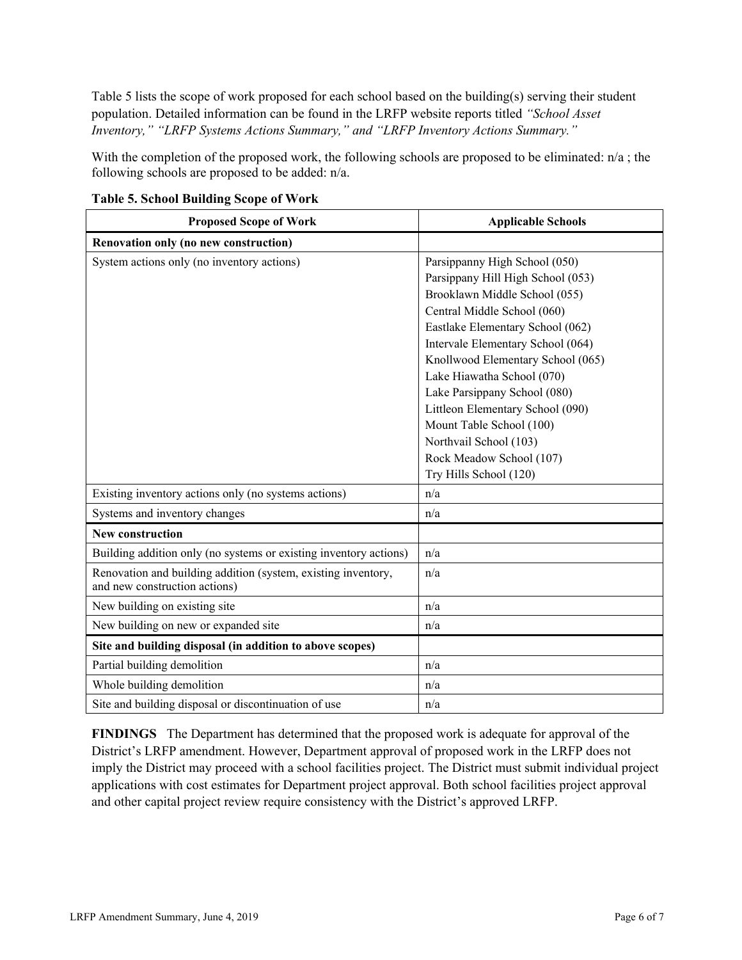Table 5 lists the scope of work proposed for each school based on the building(s) serving their student population. Detailed information can be found in the LRFP website reports titled *"School Asset Inventory," "LRFP Systems Actions Summary," and "LRFP Inventory Actions Summary."*

With the completion of the proposed work, the following schools are proposed to be eliminated:  $n/a$ ; the following schools are proposed to be added: n/a.

| <b>Proposed Scope of Work</b>                                                                  | <b>Applicable Schools</b>         |
|------------------------------------------------------------------------------------------------|-----------------------------------|
| Renovation only (no new construction)                                                          |                                   |
| System actions only (no inventory actions)                                                     | Parsippanny High School (050)     |
|                                                                                                | Parsippany Hill High School (053) |
|                                                                                                | Brooklawn Middle School (055)     |
|                                                                                                | Central Middle School (060)       |
|                                                                                                | Eastlake Elementary School (062)  |
|                                                                                                | Intervale Elementary School (064) |
|                                                                                                | Knollwood Elementary School (065) |
|                                                                                                | Lake Hiawatha School (070)        |
|                                                                                                | Lake Parsippany School (080)      |
|                                                                                                | Littleon Elementary School (090)  |
|                                                                                                | Mount Table School (100)          |
|                                                                                                | Northvail School (103)            |
|                                                                                                | Rock Meadow School (107)          |
|                                                                                                | Try Hills School (120)            |
| Existing inventory actions only (no systems actions)                                           | n/a                               |
| Systems and inventory changes                                                                  | n/a                               |
| <b>New construction</b>                                                                        |                                   |
| Building addition only (no systems or existing inventory actions)                              | n/a                               |
| Renovation and building addition (system, existing inventory,<br>and new construction actions) | n/a                               |
| New building on existing site                                                                  | n/a                               |
| New building on new or expanded site                                                           | n/a                               |
| Site and building disposal (in addition to above scopes)                                       |                                   |
| Partial building demolition                                                                    | n/a                               |
| Whole building demolition                                                                      | n/a                               |
| Site and building disposal or discontinuation of use                                           | n/a                               |

**Table 5. School Building Scope of Work**

**FINDINGS** The Department has determined that the proposed work is adequate for approval of the District's LRFP amendment. However, Department approval of proposed work in the LRFP does not imply the District may proceed with a school facilities project. The District must submit individual project applications with cost estimates for Department project approval. Both school facilities project approval and other capital project review require consistency with the District's approved LRFP.